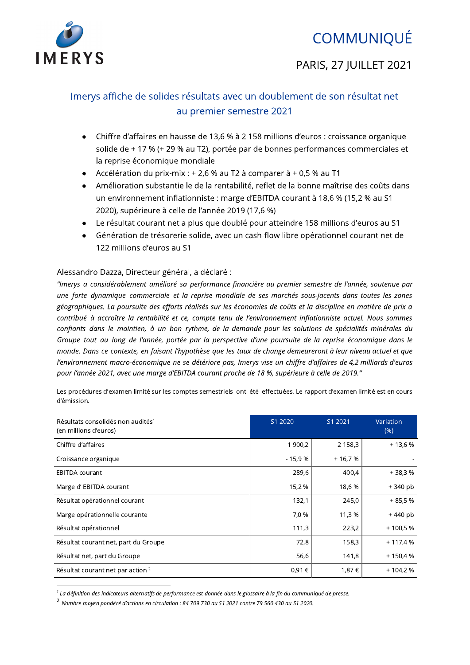

# **COMMUNIQUÉ**

## PARIS, 27 IUILLET 2021

## Imerys affiche de solides résultats avec un doublement de son résultat net au premier semestre 2021

- Chiffre d'affaires en hausse de 13,6 % à 2 158 millions d'euros : croissance organique solide de + 17 % (+ 29 % au T2), portée par de bonnes performances commerciales et la reprise économique mondiale
- Accélération du prix-mix :  $+2,6$  % au T2 à comparer à  $+0.5$  % au T1
- · Amélioration substantielle de la rentabilité, reflet de la bonne maîtrise des coûts dans un environnement inflationniste : marge d'EBITDA courant à 18,6 % (15,2 % au S1 2020), supérieure à celle de l'année 2019 (17,6 %)
- Le résultat courant net a plus que doublé pour atteindre 158 millions d'euros au S1
- Génération de trésorerie solide, avec un cash-flow libre opérationnel courant net de 122 millions d'euros au S1

### Alessandro Dazza, Directeur général, a déclaré :

"Imerys a considérablement amélioré sa performance financière au premier semestre de l'année, soutenue par une forte dynamique commerciale et la reprise mondiale de ses marchés sous-jacents dans toutes les zones géographiques. La poursuite des efforts réalisés sur les économies de coûts et la discipline en matière de prix a contribué à accroître la rentabilité et ce, compte tenu de l'environnement inflationniste actuel. Nous sommes confiants dans le maintien, à un bon rythme, de la demande pour les solutions de spécialités minérales du Groupe tout au long de l'année, portée par la perspective d'une poursuite de la reprise économique dans le monde. Dans ce contexte, en faisant l'hypothèse que les taux de change demeureront à leur niveau actuel et que l'environnement macro-économique ne se détériore pas, Imerys vise un chiffre d'affaires de 4,2 milliards d'euros pour l'année 2021, avec une marge d'EBITDA courant proche de 18 %, supérieure à celle de 2019."

Les procédures d'examen limité sur les comptes semestriels ont été effectuées. Le rapport d'examen limité est en cours d'émission.

| Résultats consolidés non audités <sup>1</sup><br>(en millions d'euros) | S1 2020  | S1 2021    | Variation<br>(% ) |
|------------------------------------------------------------------------|----------|------------|-------------------|
| Chiffre d'affaires                                                     | 1 900,2  | 2 1 5 8, 3 | $+13,6%$          |
| Croissance organique                                                   | $-15,9%$ | $+16.7%$   |                   |
| <b>EBITDA</b> courant                                                  | 289,6    | 400,4      | $+38,3%$          |
| Marge d'EBITDA courant                                                 | 15,2 %   | 18,6%      | $+340$ pb         |
| Résultat opérationnel courant                                          | 132,1    | 245,0      | $+85.5%$          |
| Marge opérationnelle courante                                          | 7,0 %    | 11,3%      | $+440$ pb         |
| Résultat opérationnel                                                  | 111,3    | 223,2      | $+100,5%$         |
| Résultat courant net, part du Groupe                                   | 72,8     | 158,3      | $+117,4%$         |
| Résultat net, part du Groupe                                           | 56,6     | 141,8      | + 150,4 %         |
| Résultat courant net par action <sup>2</sup>                           | 0,91€    | 1,87€      | $+104.2%$         |

 $^1$  La définition des indicateurs alternatifs de performance est donnée dans le glossaire à la fin du communiqué de presse.

<sup>&</sup>lt;sup>2</sup> Nombre moyen pondéré d'actions en circulation : 84 709 730 au S1 2021 contre 79 560 430 au S1 2020.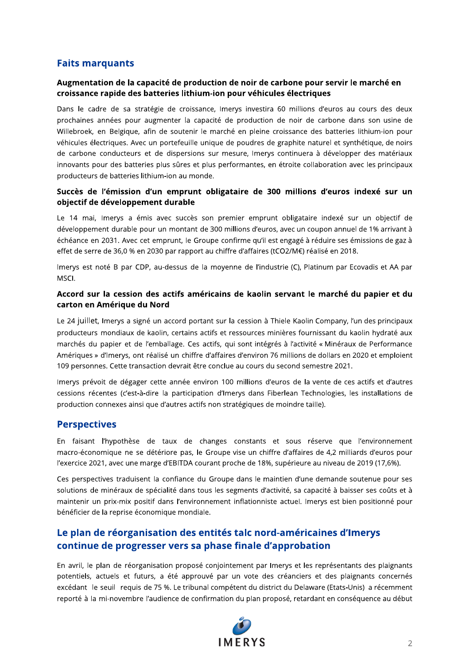### **Faits marquants**

### Augmentation de la capacité de production de noir de carbone pour servir le marché en croissance rapide des batteries lithium-ion pour véhicules électriques

Dans le cadre de sa stratégie de croissance, Imerys investira 60 millions d'euros au cours des deux prochaines années pour augmenter la capacité de production de noir de carbone dans son usine de Willebroek, en Belgique, afin de soutenir le marché en pleine croissance des batteries lithium-ion pour véhicules électriques. Avec un portefeuille unique de poudres de graphite naturel et synthétique, de noirs de carbone conducteurs et de dispersions sur mesure, Imerys continuera à développer des matériaux innovants pour des batteries plus sûres et plus performantes, en étroite collaboration avec les principaux producteurs de batteries lithium-ion au monde.

### Succès de l'émission d'un emprunt obligataire de 300 millions d'euros indexé sur un objectif de développement durable

Le 14 mai, Imerys a émis avec succès son premier emprunt obligataire indexé sur un objectif de développement durable pour un montant de 300 millions d'euros, avec un coupon annuel de 1% arrivant à échéance en 2031. Avec cet emprunt, le Groupe confirme qu'il est engagé à réduire ses émissions de gaz à effet de serre de 36,0 % en 2030 par rapport au chiffre d'affaires (tCO2/M€) réalisé en 2018.

Imerys est noté B par CDP, au-dessus de la moyenne de l'industrie (C), Platinum par Ecovadis et AA par **MSCL** 

#### Accord sur la cession des actifs américains de kaolin servant le marché du papier et du carton en Amérique du Nord

Le 24 juillet, Imerys a signé un accord portant sur la cession à Thiele Kaolin Company, l'un des principaux producteurs mondiaux de kaolin, certains actifs et ressources minières fournissant du kaolin hydraté aux marchés du papier et de l'emballage. Ces actifs, qui sont intégrés à l'activité « Minéraux de Performance Amériques » d'Imerys, ont réalisé un chiffre d'affaires d'environ 76 millions de dollars en 2020 et emploient 109 personnes. Cette transaction devrait être conclue au cours du second semestre 2021.

Imerys prévoit de dégager cette année environ 100 millions d'euros de la vente de ces actifs et d'autres cessions récentes (c'est-à-dire la participation d'Imerys dans Fiberlean Technologies, les installations de production connexes ainsi que d'autres actifs non stratégiques de moindre taille).

### **Perspectives**

En faisant l'hypothèse de taux de changes constants et sous réserve que l'environnement macro-économique ne se détériore pas, le Groupe vise un chiffre d'affaires de 4,2 milliards d'euros pour l'exercice 2021, avec une marge d'EBITDA courant proche de 18%, supérieure au niveau de 2019 (17,6%).

Ces perspectives traduisent la confiance du Groupe dans le maintien d'une demande soutenue pour ses solutions de minéraux de spécialité dans tous les segments d'activité, sa capacité à baisser ses coûts et à maintenir un prix-mix positif dans l'environnement inflationniste actuel. Imerys est bien positionné pour bénéficier de la reprise économique mondiale.

### Le plan de réorganisation des entités talc nord-américaines d'Imerys continue de progresser vers sa phase finale d'approbation

En avril, le plan de réorganisation proposé conjointement par Imerys et les représentants des plaignants potentiels, actuels et futurs, a été approuvé par un vote des créanciers et des plaignants concernés excédant le seuil requis de 75 %. Le tribunal compétent du district du Delaware (Etats-Unis) a récemment reporté à la mi-novembre l'audience de confirmation du plan proposé, retardant en conséquence au début

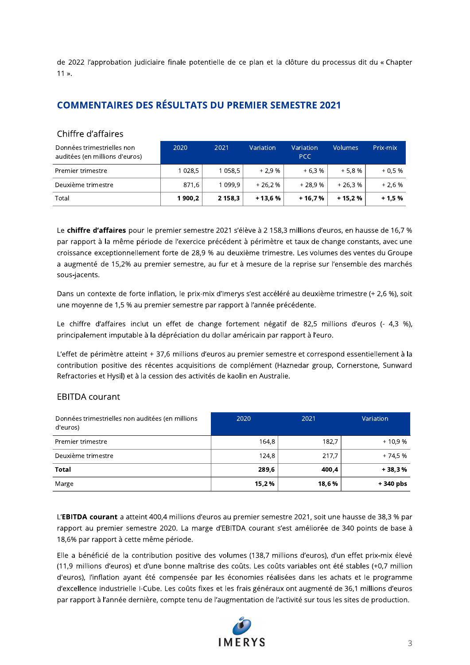de 2022 l'approbation judiciaire finale potentielle de ce plan et la clôture du processus dit du « Chapter  $11<sub>2</sub>$ .

### **COMMENTAIRES DES RÉSULTATS DU PREMIER SEMESTRE 2021**

### Chiffre d'affaires

| Données trimestrielles non<br>auditées (en millions d'euros) | 2020     | 2021        | Variation | Variation<br><b>PCC</b> | Volumes  | Prix-mix |
|--------------------------------------------------------------|----------|-------------|-----------|-------------------------|----------|----------|
| Premier trimestre                                            | 1 0 28,5 | 1 058,5     | $+2.9%$   | $+6.3%$                 | $+5.8%$  | $+0.5%$  |
| Deuxième trimestre                                           | 871,6    | 1 0 9 9, 9  | $+26.2%$  | $+28.9%$                | $+26.3%$ | $+2.6%$  |
| Total                                                        | 1 900.2  | 2 1 5 8 , 3 | $+13.6%$  | + 16.7 %                | $+15.2%$ | $+1.5%$  |

Le chiffre d'affaires pour le premier semestre 2021 s'élève à 2 158,3 millions d'euros, en hausse de 16,7 % par rapport à la même période de l'exercice précédent à périmètre et taux de change constants, avec une croissance exceptionnellement forte de 28,9 % au deuxième trimestre. Les volumes des ventes du Groupe a augmenté de 15,2% au premier semestre, au fur et à mesure de la reprise sur l'ensemble des marchés sous-jacents.

Dans un contexte de forte inflation, le prix-mix d'Imerys s'est accéléré au deuxième trimestre (+ 2,6 %), soit une moyenne de 1,5 % au premier semestre par rapport à l'année précédente.

Le chiffre d'affaires inclut un effet de change fortement négatif de 82,5 millions d'euros (- 4,3 %), principalement imputable à la dépréciation du dollar américain par rapport à l'euro.

L'effet de périmètre atteint + 37,6 millions d'euros au premier semestre et correspond essentiellement à la contribution positive des récentes acquisitions de complément (Haznedar group, Cornerstone, Sunward Refractories et Hysil) et à la cession des activités de kaolin en Australie.

### **EBITDA** courant

| Données trimestrielles non auditées (en millions<br>d'euros) | 2020  | 2021  | Variation  |
|--------------------------------------------------------------|-------|-------|------------|
| Premier trimestre                                            | 164,8 | 182,7 | $+10.9%$   |
| Deuxième trimestre                                           | 124,8 | 217,7 | $+74.5%$   |
| <b>Total</b>                                                 | 289,6 | 400,4 | $+38.3%$   |
| Marge                                                        | 15,2% | 18,6% | $+340$ pbs |

L'EBITDA courant a atteint 400,4 millions d'euros au premier semestre 2021, soit une hausse de 38,3 % par rapport au premier semestre 2020. La marge d'EBITDA courant s'est améliorée de 340 points de base à 18,6% par rapport à cette même période.

Elle a bénéficié de la contribution positive des volumes (138,7 millions d'euros), d'un effet prix-mix élevé (11,9 millions d'euros) et d'une bonne maîtrise des coûts. Les coûts variables ont été stables (+0,7 million d'euros), l'inflation ayant été compensée par les économies réalisées dans les achats et le programme d'excellence industrielle I-Cube. Les coûts fixes et les frais généraux ont augmenté de 36,1 millions d'euros par rapport à l'année dernière, compte tenu de l'augmentation de l'activité sur tous les sites de production.

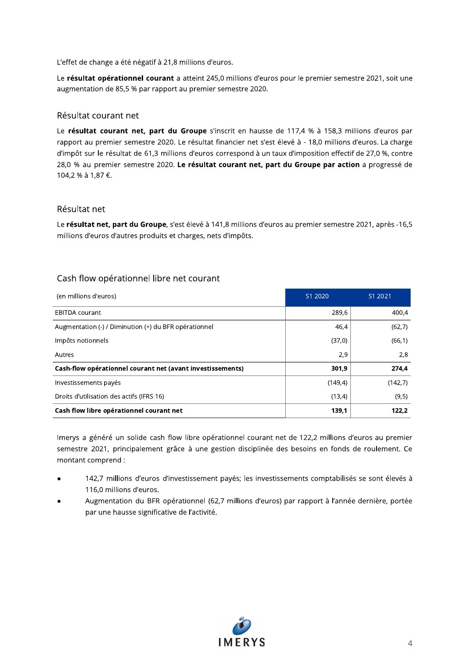L'effet de change a été négatif à 21,8 millions d'euros.

Le résultat opérationnel courant a atteint 245,0 millions d'euros pour le premier semestre 2021, soit une augmentation de 85,5 % par rapport au premier semestre 2020.

#### Résultat courant net

Le résultat courant net, part du Groupe s'inscrit en hausse de 117,4 % à 158,3 millions d'euros par rapport au premier semestre 2020. Le résultat financier net s'est élevé à - 18,0 millions d'euros. La charge d'impôt sur le résultat de 61,3 millions d'euros correspond à un taux d'imposition effectif de 27,0 %, contre 28,0 % au premier semestre 2020. Le résultat courant net, part du Groupe par action a progressé de 104,2 % à 1,87 €.

#### Résultat net

Le résultat net, part du Groupe, s'est élevé à 141,8 millions d'euros au premier semestre 2021, après -16,5 millions d'euros d'autres produits et charges, nets d'impôts.

### Cash flow opérationnel libre net courant

| (en millions d'euros)                                      | S1 2020 | S1 2021 |
|------------------------------------------------------------|---------|---------|
| <b>EBITDA</b> courant                                      | 289,6   | 400,4   |
| Augmentation (-) / Diminution (+) du BFR opérationnel      | 46,4    | (62,7)  |
| Impôts notionnels                                          | (37,0)  | (66, 1) |
| Autres                                                     | 2,9     | 2,8     |
| Cash-flow opérationnel courant net (avant investissements) | 301,9   | 274,4   |
| Investissements payés                                      | (149,4) | (142,7) |
| Droits d'utilisation des actifs (IFRS 16)                  | (13,4)  | (9,5)   |
| Cash flow libre opérationnel courant net                   | 139,1   | 122,2   |

Imerys a généré un solide cash flow libre opérationnel courant net de 122,2 millions d'euros au premier semestre 2021, principalement grâce à une gestion disciplinée des besoins en fonds de roulement. Ce montant comprend :

- 142,7 millions d'euros d'investissement payés; les investissements comptabilisés se sont élevés à 116,0 millions d'euros.
- Augmentation du BFR opérationnel (62,7 millions d'euros) par rapport à l'année dernière, portée par une hausse significative de l'activité.

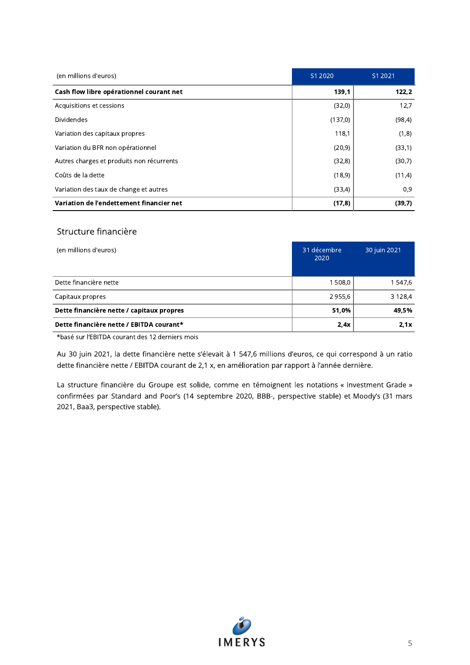| (en millions d'euros)                     | S1 2020 | S1 2021 |
|-------------------------------------------|---------|---------|
| Cash flow libre opérationnel courant net  | 139.1   | 122,2   |
| Acquisitions et cessions                  | (32,0)  | 12,7    |
| <b>Dividendes</b>                         | (137,0) | (98, 4) |
| Variation des capitaux propres            | 118,1   | (1,8)   |
| Variation du BFR non opérationnel         | (20, 9) | (33,1)  |
| Autres charges et produits non récurrents | (32,8)  | (30,7)  |
| Coûts de la dette                         | (18, 9) | (11,4)  |
| Variation des taux de change et autres    | (33,4)  | 0,9     |
| Variation de l'endettement financier net  | (17,8)  | (39,7)  |

#### Structure financière

| (en millions d'euros)                     | 31 décembre<br>2020 | 30 juin 2021 |
|-------------------------------------------|---------------------|--------------|
| Dette financière nette                    | 1 508,0             | 1 547,6      |
| Capitaux propres                          | 2 955,6             | 3 1 2 8 , 4  |
| Dette financière nette / capitaux propres | 51.0%               | 49,5%        |
| Dette financière nette / EBITDA courant*  | 2,4x                | 2.1x         |

\*basé sur l'EBITDA courant des 12 derniers mois

Au 30 juin 2021, la dette financière nette s'élevait à 1 547,6 millions d'euros, ce qui correspond à un ratio dette financière nette / EBITDA courant de 2,1 x, en amélioration par rapport à l'année dernière.

La structure financière du Groupe est solide, comme en témoignent les notations « Investment Grade » confirmées par Standard and Poor's (14 septembre 2020, BBB-, perspective stable) et Moody's (31 mars 2021, Baa3, perspective stable).

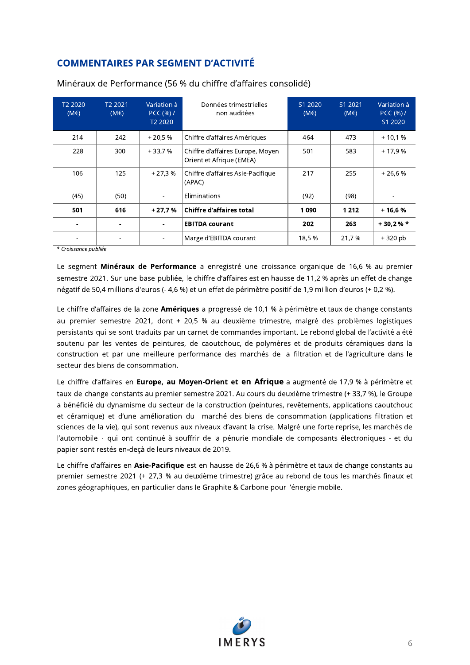## **COMMENTAIRES PAR SEGMENT D'ACTIVITÉ**

| T <sub>2</sub> 2020<br>$(M \in )$ | T <sub>2</sub> 2021<br>$(M \in )$ | Variation à<br>PCC(%) /<br>T <sub>2</sub> 2020 | Données trimestrielles<br>non auditées                       | S1 2020<br>$(M \in )$ | S1 2021<br>$(M \in )$ | Variation à<br>PCC(%)/<br>S1 2020 |
|-----------------------------------|-----------------------------------|------------------------------------------------|--------------------------------------------------------------|-----------------------|-----------------------|-----------------------------------|
| 214                               | 242                               | $+20.5%$                                       | Chiffre d'affaires Amériques                                 | 464                   | 473                   | $+10.1%$                          |
| 228                               | 300                               | $+33.7%$                                       | Chiffre d'affaires Europe, Moyen<br>Orient et Afrique (EMEA) | 501                   | 583                   | $+17.9%$                          |
| 106                               | 125                               | $+27.3%$                                       | Chiffre d'affaires Asie-Pacifique<br>(APAC)                  | 217                   | 255                   | $+26.6%$                          |
| (45)                              | (50)                              |                                                | Eliminations                                                 | (92)                  | (98)                  |                                   |
| 501                               | 616                               | $+27.7%$                                       | <b>Chiffre d'affaires total</b>                              | 1090                  | 1 2 1 2               | $+16,6%$                          |
|                                   |                                   | ٠                                              | <b>EBITDA courant</b>                                        | 202                   | 263                   | $+30.2%$                          |
|                                   |                                   |                                                | Marge d'EBITDA courant                                       | 18,5 %                | 21,7 %                | $+320$ pb                         |

Minéraux de Performance (56 % du chiffre d'affaires consolidé)

\* Croissance publiée

Le segment Minéraux de Performance a enregistré une croissance organique de 16,6 % au premier semestre 2021. Sur une base publiée, le chiffre d'affaires est en hausse de 11,2 % après un effet de change négatif de 50,4 millions d'euros (- 4,6 %) et un effet de périmètre positif de 1,9 million d'euros (+ 0,2 %).

Le chiffre d'affaires de la zone Amériques a progressé de 10,1 % à périmètre et taux de change constants au premier semestre 2021, dont + 20,5 % au deuxième trimestre, malgré des problèmes logistiques persistants qui se sont traduits par un carnet de commandes important. Le rebond global de l'activité a été soutenu par les ventes de peintures, de caoutchouc, de polymères et de produits céramiques dans la construction et par une meilleure performance des marchés de la filtration et de l'agriculture dans le secteur des biens de consommation.

Le chiffre d'affaires en Europe, au Moyen-Orient et en Afrique a augmenté de 17,9 % à périmètre et taux de change constants au premier semestre 2021. Au cours du deuxième trimestre (+ 33,7 %), le Groupe a bénéficié du dynamisme du secteur de la construction (peintures, revêtements, applications caoutchouc et céramique) et d'une amélioration du marché des biens de consommation (applications filtration et sciences de la vie), qui sont revenus aux niveaux d'avant la crise. Malgré une forte reprise, les marchés de l'automobile - qui ont continué à souffrir de la pénurie mondiale de composants électroniques - et du papier sont restés en-deçà de leurs niveaux de 2019.

Le chiffre d'affaires en Asie-Pacifique est en hausse de 26,6 % à périmètre et taux de change constants au premier semestre 2021 (+ 27,3 % au deuxième trimestre) grâce au rebond de tous les marchés finaux et zones géographiques, en particulier dans le Graphite & Carbone pour l'énergie mobile.

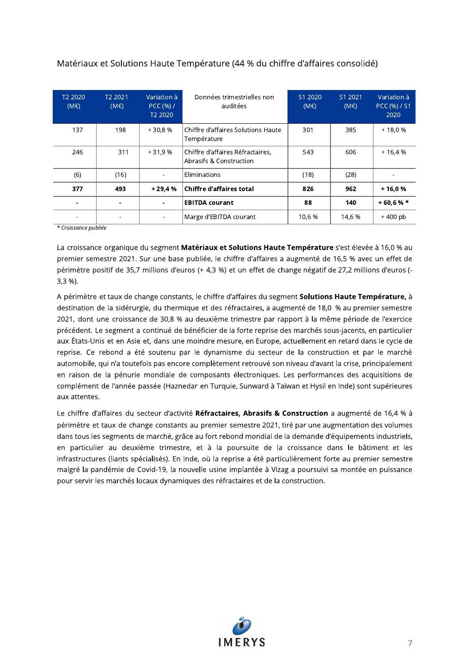| T <sub>2</sub> 2020<br>(ME) | T <sub>2</sub> 2021<br>(ME) | Variation à<br>PCC(%)/<br>T <sub>2</sub> 2020 | Données trimestrielles non<br>auditées                      | S1 2020<br>$(M \in )$ | S1 2021<br>$(M \in )$ | Variation à<br>PCC (%) / S1<br>2020 |
|-----------------------------|-----------------------------|-----------------------------------------------|-------------------------------------------------------------|-----------------------|-----------------------|-------------------------------------|
| 137                         | 198                         | $+30.8%$                                      | Chiffre d'affaires Solutions Haute<br>Température           | 301                   | 385                   | $+18.0%$                            |
| 246                         | 311                         | $+31.9%$                                      | Chiffre d'affaires Réfractaires,<br>Abrasifs & Construction | 543                   | 606                   | $+16.4%$                            |
| (6)                         | (16)                        |                                               | Eliminations                                                | (18)                  | (28)                  |                                     |
| 377                         | 493                         | $+29.4%$                                      | Chiffre d'affaires total                                    | 826                   | 962                   | $+16.0%$                            |
|                             |                             |                                               | <b>EBITDA courant</b>                                       | 88                    | 140                   | $+60.6%$                            |
|                             |                             |                                               | Marge d'EBITDA courant                                      | 10,6 %                | 14,6 %                | $+400$ pb                           |

### Matériaux et Solutions Haute Température (44 % du chiffre d'affaires consolidé)

\* Croissance publiée

La croissance organique du segment Matériaux et Solutions Haute Température s'est élevée à 16,0 % au premier semestre 2021. Sur une base publiée, le chiffre d'affaires a augmenté de 16,5 % avec un effet de périmètre positif de 35,7 millions d'euros (+ 4,3 %) et un effet de change négatif de 27,2 millions d'euros (- $3,3%$ .

A périmètre et taux de change constants, le chiffre d'affaires du segment Solutions Haute Température, à destination de la sidérurgie, du thermique et des réfractaires, a augmenté de 18,0 % au premier semestre 2021, dont une croissance de 30,8 % au deuxième trimestre par rapport à la même période de l'exercice précédent. Le segment a continué de bénéficier de la forte reprise des marchés sous-jacents, en particulier aux États-Unis et en Asie et, dans une moindre mesure, en Europe, actuellement en retard dans le cycle de reprise. Ce rebond a été soutenu par le dynamisme du secteur de la construction et par le marché automobile, qui n'a toutefois pas encore complètement retrouvé son niveau d'avant la crise, principalement en raison de la pénurie mondiale de composants électroniques. Les performances des acquisitions de complément de l'année passée (Haznedar en Turquie, Sunward à Taïwan et Hysil en Inde) sont supérieures aux attentes.

Le chiffre d'affaires du secteur d'activité Réfractaires, Abrasifs & Construction a augmenté de 16,4 % à périmètre et taux de change constants au premier semestre 2021, tiré par une augmentation des volumes dans tous les segments de marché, grâce au fort rebond mondial de la demande d'équipements industriels, en particulier au deuxième trimestre, et à la poursuite de la croissance dans le bâtiment et les infrastructures (liants spécialisés). En Inde, où la reprise a été particulièrement forte au premier semestre malgré la pandémie de Covid-19, la nouvelle usine implantée à Vizag a poursuivi sa montée en puissance pour servir les marchés locaux dynamiques des réfractaires et de la construction.

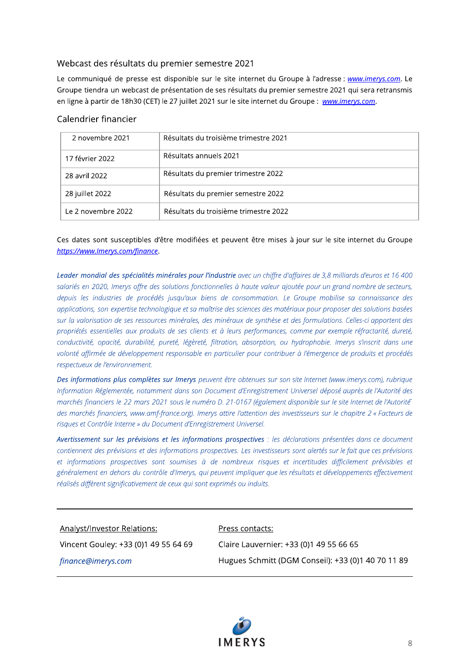### Webcast des résultats du premier semestre 2021

Le communiqué de presse est disponible sur le site internet du Groupe à l'adresse : www.imerys.com. Le Groupe tiendra un webcast de présentation de ses résultats du premier semestre 2021 qui sera retransmis en ligne à partir de 18h30 (CET) le 27 juillet 2021 sur le site internet du Groupe : www.imerys.com.

### Calendrier financier

| 2 novembre 2021    | Résultats du troisième trimestre 2021 |
|--------------------|---------------------------------------|
| 17 février 2022    | Résultats annuels 2021                |
| 28 avril 2022      | Résultats du premier trimestre 2022   |
| 28 juillet 2022    | Résultats du premier semestre 2022    |
| Le 2 novembre 2022 | Résultats du troisième trimestre 2022 |

### Ces dates sont susceptibles d'être modifiées et peuvent être mises à jour sur le site internet du Groupe https://www.lmerys.com/finance.

Leader mondial des spécialités minérales pour l'industrie avec un chiffre d'affaires de 3,8 milliards d'euros et 16 400 salariés en 2020, Imerys offre des solutions fonctionnelles à haute valeur ajoutée pour un grand nombre de secteurs, depuis les industries de procédés jusqu'aux biens de consommation. Le Groupe mobilise sa connaissance des applications, son expertise technologique et sa maîtrise des sciences des matériaux pour proposer des solutions basées sur la valorisation de ses ressources minérales, des minéraux de synthèse et des formulations. Celles-ci apportent des propriétés essentielles aux produits de ses clients et à leurs performances, comme par exemple réfractarité, dureté, conductivité, opacité, durabilité, pureté, légèreté, filtration, absorption, ou hydrophobie. Imerys s'inscrit dans une volonté affirmée de développement responsable en particulier pour contribuer à l'émergence de produits et procédés respectueux de l'environnement.

Des informations plus complètes sur Imerys peuvent être obtenues sur son site Internet (www.imerys.com), rubrique Information Réglementée, notamment dans son Document d'Enregistrement Universel déposé auprès de l'Autorité des marchés financiers le 22 mars 2021 sous le numéro D. 21-0167 (également disponible sur le site Internet de l'Autorité des marchés financiers, www.amf-france.org). Imerys attire l'attention des investisseurs sur le chapitre 2 « Facteurs de risques et Contrôle Interne » du Document d'Enregistrement Universel.

Avertissement sur les prévisions et les informations prospectives : les déclarations présentées dans ce document contiennent des prévisions et des informations prospectives. Les investisseurs sont alertés sur le fait que ces prévisions et informations prospectives sont soumises à de nombreux risques et incertitudes difficilement prévisibles et généralement en dehors du contrôle d'Imerys, qui peuvent impliquer que les résultats et développements effectivement réalisés diffèrent significativement de ceux qui sont exprimés ou induits.

#### **Analyst/Investor Relations:**

#### Press contacts:

Vincent Gouley: +33 (0)1 49 55 64 69

finance@imerys.com

Claire Lauvernier: +33 (0)1 49 55 66 65 Hugues Schmitt (DGM Conseil): +33 (0)1 40 70 11 89

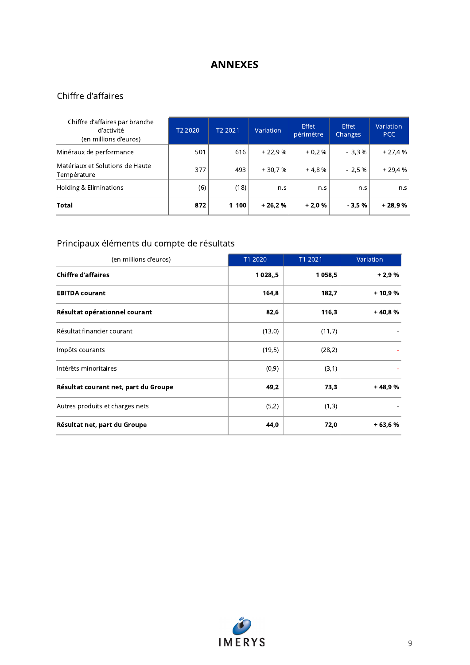## **ANNEXES**

## Chiffre d'affaires

| Chiffre d'affaires par branche<br>d'activité<br>(en millions d'euros) | T <sub>2</sub> 2020 | T <sub>2</sub> 2021 | Variation | <b>Effet</b><br>périmètre | <b>Effet</b><br>Changes | Variation<br><b>PCC</b> |
|-----------------------------------------------------------------------|---------------------|---------------------|-----------|---------------------------|-------------------------|-------------------------|
| Minéraux de performance                                               | 501                 | 616                 | $+22.9%$  | $+0.2%$                   | $-3.3%$                 | $+27.4%$                |
| Matériaux et Solutions de Haute<br>Température                        | 377                 | 493                 | $+30.7%$  | $+4.8%$                   | $-2.5%$                 | $+29.4%$                |
| Holding & Eliminations                                                | (6)                 | (18)                | n.s       | n.s                       | n.s                     | n.s                     |
| Total                                                                 | 872                 | 1 100               | $+26.2%$  | $+2.0%$                   | $-3.5%$                 | $+28.9%$                |

## Principaux éléments du compte de résultats

| (en millions d'euros)                | T1 2020     | T1 2021 | Variation |
|--------------------------------------|-------------|---------|-----------|
| <b>Chiffre d'affaires</b>            | 1 0 28 ., 5 | 1 058,5 | $+2,9%$   |
| <b>EBITDA courant</b>                | 164,8       | 182,7   | + 10,9 %  |
| Résultat opérationnel courant        | 82,6        | 116,3   | $+40,8%$  |
| Résultat financier courant           | (13,0)      | (11,7)  |           |
| Impôts courants                      | (19,5)      | (28,2)  |           |
| Intérêts minoritaires                | (0, 9)      | (3,1)   |           |
| Résultat courant net, part du Groupe | 49,2        | 73,3    | +48.9%    |
| Autres produits et charges nets      | (5,2)       | (1,3)   |           |
| Résultat net, part du Groupe         | 44,0        | 72,0    | $+63.6%$  |

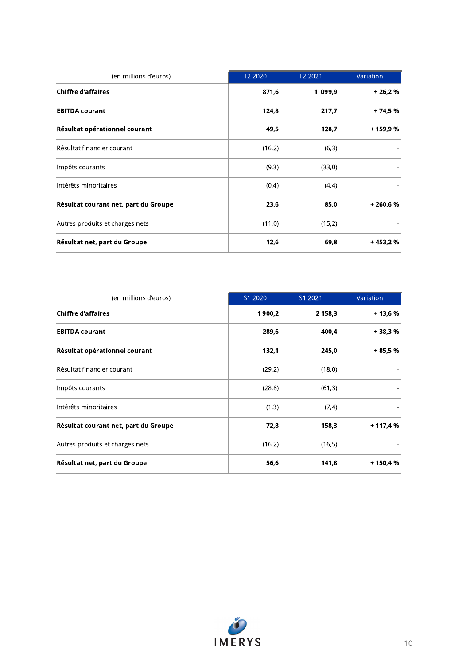| <b>Chiffre d'affaires</b>            | 871,6<br>124,8 | 1 099,9 | $+26,2%$  |
|--------------------------------------|----------------|---------|-----------|
| <b>EBITDA courant</b>                |                |         |           |
|                                      |                | 217,7   | $+74,5%$  |
| Résultat opérationnel courant        | 49,5           | 128,7   | + 159,9 % |
| Résultat financier courant           | (16,2)         | (6, 3)  |           |
| Impôts courants                      | (9,3)          | (33,0)  |           |
| Intérêts minoritaires                | (0,4)          | (4,4)   |           |
| Résultat courant net, part du Groupe | 23,6           | 85,0    | $+260,6%$ |
| Autres produits et charges nets      | (11,0)         | (15,2)  |           |
| Résultat net, part du Groupe         | 12,6           | 69,8    | $+453,2%$ |

| (en millions d'euros)                | S1 2020 | S1 2021 | Variation |
|--------------------------------------|---------|---------|-----------|
| <b>Chiffre d'affaires</b>            | 1900,2  | 2 158,3 | $+13,6%$  |
| <b>EBITDA courant</b>                | 289,6   | 400,4   | $+38,3%$  |
| Résultat opérationnel courant        | 132,1   | 245,0   | $+85.5%$  |
| Résultat financier courant           | (29,2)  | (18, 0) |           |
| Impôts courants                      | (28, 8) | (61,3)  |           |
| Intérêts minoritaires                | (1,3)   | (7, 4)  |           |
| Résultat courant net, part du Groupe | 72,8    | 158,3   | $+117,4%$ |
| Autres produits et charges nets      | (16,2)  | (16, 5) |           |
| Résultat net, part du Groupe         | 56,6    | 141,8   | $+150,4%$ |

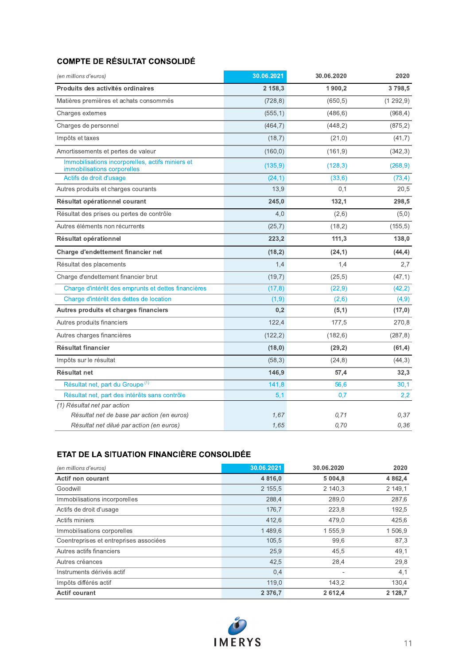### **COMPTE DE RÉSULTAT CONSOLIDÉ**

| (en millions d'euros)                                                           | 30.06.2021 | 30.06.2020 | 2020     |
|---------------------------------------------------------------------------------|------------|------------|----------|
| Produits des activités ordinaires                                               | 2 158,3    | 1 900,2    | 3798,5   |
| Matières premières et achats consommés                                          | (728, 8)   | (650, 5)   | (1292,9) |
| Charges externes                                                                | (555, 1)   | (486, 6)   | (968, 4) |
| Charges de personnel                                                            | (464,7)    | (448, 2)   | (875, 2) |
| Impôts et taxes                                                                 | (18,7)     | (21,0)     | (41,7)   |
| Amortissements et pertes de valeur                                              | (160, 0)   | (161, 9)   | (342,3)  |
| Immobilisations incorporelles, actifs miniers et<br>immobilisations corporelles | (135, 9)   | (128, 3)   | (268, 9) |
| Actifs de droit d'usage                                                         | (24,1)     | (33,6)     | (73, 4)  |
| Autres produits et charges courants                                             | 13,9       | 0,1        | 20,5     |
| Résultat opérationnel courant                                                   | 245,0      | 132,1      | 298,5    |
| Résultat des prises ou pertes de contrôle                                       | 4,0        | (2,6)      | (5,0)    |
| Autres éléments non récurrents                                                  | (25,7)     | (18,2)     | (155, 5) |
| Résultat opérationnel                                                           | 223,2      | 111,3      | 138,0    |
| Charge d'endettement financier net                                              | (18,2)     | (24,1)     | (44, 4)  |
| Résultat des placements                                                         | 1,4        | 1,4        | 2,7      |
| Charge d'endettement financier brut                                             | (19,7)     | (25, 5)    | (47, 1)  |
| Charge d'intérêt des emprunts et dettes financières                             | (17, 8)    | (22, 9)    | (42, 2)  |
| Charge d'intérêt des dettes de location                                         | (1,9)      | (2,6)      | (4, 9)   |
| Autres produits et charges financiers                                           | 0,2        | (5,1)      | (17,0)   |
| Autres produits financiers                                                      | 122,4      | 177,5      | 270,8    |
| Autres charges financières                                                      | (122, 2)   | (182, 6)   | (287, 8) |
| <b>Résultat financier</b>                                                       | (18,0)     | (29,2)     | (61, 4)  |
| Impôts sur le résultat                                                          | (58,3)     | (24, 8)    | (44,3)   |
| Résultat net                                                                    | 146,9      | 57,4       | 32,3     |
| Résultat net, part du Groupe <sup>(1)</sup>                                     | 141,8      | 56,6       | 30,1     |
| Résultat net, part des intérêts sans contrôle                                   | 5,1        | 0,7        | 2,2      |
| (1) Résultat net par action                                                     |            |            |          |
| Résultat net de base par action (en euros)                                      | 1.67       | 0.71       | 0.37     |
| Résultat net dilué par action (en euros)                                        | 1,65       | 0.70       | 0,36     |

### ETAT DE LA SITUATION FINANCIÈRE CONSOLIDÉE

| (en millions d'euros)                  | 30.06.2021  | 30.06.2020 | 2020        |
|----------------------------------------|-------------|------------|-------------|
| Actif non courant                      | 4 8 1 6 , 0 | 5 0 0 4 8  | 4 8 6 2 , 4 |
| Goodwill                               | 2 155,5     | 2 140.3    | 2 149,1     |
| Immobilisations incorporelles          | 288,4       | 289,0      | 287,6       |
| Actifs de droit d'usage                | 176,7       | 223,8      | 192,5       |
| Actifs miniers                         | 412,6       | 479,0      | 425,6       |
| Immobilisations corporelles            | 1489,6      | 1 555,9    | 1 506,9     |
| Coentreprises et entreprises associées | 105,5       | 99,6       | 87,3        |
| Autres actifs financiers               | 25,9        | 45,5       | 49,1        |
| Autres créances                        | 42,5        | 28,4       | 29,8        |
| Instruments dérivés actif              | 0,4         |            | 4,1         |
| Impôts différés actif                  | 119,0       | 143,2      | 130,4       |
| <b>Actif courant</b>                   | 2 3 7 6 . 7 | 2 6 1 2.4  | 2 1 2 8 .7  |

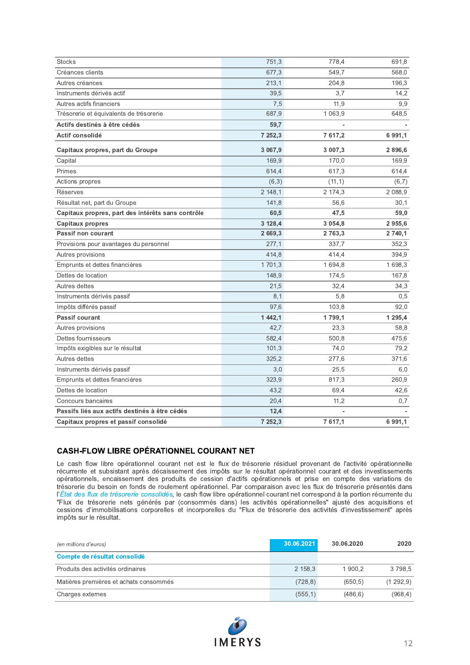| Créances clients<br>677,3<br>549.7<br>568,0<br>Autres créances<br>196,3<br>213,1<br>204,8<br>Instruments dérivés actif<br>39,5<br>3,7<br>14,2<br>Autres actifs financiers<br>7,5<br>11,9<br>9,9<br>1 0 6 3 , 9<br>648,5<br>Trésorerie et équivalents de trésorerie<br>687,9<br>Actifs destinés à être cédés<br>59,7<br>Actif consolidé<br>7 617,2<br>6 9 9 1, 1<br>7 252,3<br>3 067,9<br>3 007,3<br>2896,6<br>Capitaux propres, part du Groupe<br>169,9<br>170,0<br>169,9<br>Capital<br>Primes<br>617,3<br>614,4<br>614,4<br>Actions propres<br>(6,3)<br>(11,1)<br>(6,7)<br>2 148,1<br>2 088,9<br>Réserves<br>2 174,3<br>Résultat net, part du Groupe<br>141,8<br>56,6<br>30,1<br>60,5<br>47,5<br>59,0<br>Capitaux propres, part des intérêts sans contrôle<br>2955,6<br><b>Capitaux propres</b><br>3 1 28,4<br>3 0 5 4 , 8<br>2 669,3<br>2 740,1<br>Passif non courant<br>2 7 6 3 , 3<br>352,3<br>Provisions pour avantages du personnel<br>277.1<br>337,7<br>414,8<br>414,4<br>394,9<br>Autres provisions<br>1701,3<br>1698,3<br>Emprunts et dettes financières<br>1694,8<br>Dettes de location<br>148,9<br>174,5<br>167,8<br>Autres dettes<br>21,5<br>32,4<br>34,3<br>Instruments dérivés passif<br>8,1<br>5,8<br>0,5<br>Impôts différés passif<br>97,6<br>103,8<br>92,0<br>Passif courant<br>1 4 4 2, 1<br>1799,1<br>1 2 9 5, 4<br>Autres provisions<br>42,7<br>58,8<br>23,3<br>Dettes fournisseurs<br>582,4<br>500,8<br>475,6<br>Impôts exigibles sur le résultat<br>101,3<br>74,0<br>79,2<br>Autres dettes<br>325,2<br>371,6<br>277,6<br>Instruments dérivés passif<br>3,0<br>25,5<br>6,0<br>323,9<br>260,9<br>Emprunts et dettes financières<br>817,3<br>Dettes de location<br>43,2<br>69,4<br>42,6<br>Concours bancaires<br>20,4<br>11,2<br>0,7<br>Passifs liés aux actifs destinés à être cédés<br>12,4<br>Capitaux propres et passif consolidé<br>7 252,3<br>7 617,1<br>6 9 9 1 , 1 |               |       |       |       |
|-----------------------------------------------------------------------------------------------------------------------------------------------------------------------------------------------------------------------------------------------------------------------------------------------------------------------------------------------------------------------------------------------------------------------------------------------------------------------------------------------------------------------------------------------------------------------------------------------------------------------------------------------------------------------------------------------------------------------------------------------------------------------------------------------------------------------------------------------------------------------------------------------------------------------------------------------------------------------------------------------------------------------------------------------------------------------------------------------------------------------------------------------------------------------------------------------------------------------------------------------------------------------------------------------------------------------------------------------------------------------------------------------------------------------------------------------------------------------------------------------------------------------------------------------------------------------------------------------------------------------------------------------------------------------------------------------------------------------------------------------------------------------------------------------------------------------------------------------------------------------------------------------|---------------|-------|-------|-------|
|                                                                                                                                                                                                                                                                                                                                                                                                                                                                                                                                                                                                                                                                                                                                                                                                                                                                                                                                                                                                                                                                                                                                                                                                                                                                                                                                                                                                                                                                                                                                                                                                                                                                                                                                                                                                                                                                                               | <b>Stocks</b> | 751,3 | 778,4 | 691,8 |
|                                                                                                                                                                                                                                                                                                                                                                                                                                                                                                                                                                                                                                                                                                                                                                                                                                                                                                                                                                                                                                                                                                                                                                                                                                                                                                                                                                                                                                                                                                                                                                                                                                                                                                                                                                                                                                                                                               |               |       |       |       |
|                                                                                                                                                                                                                                                                                                                                                                                                                                                                                                                                                                                                                                                                                                                                                                                                                                                                                                                                                                                                                                                                                                                                                                                                                                                                                                                                                                                                                                                                                                                                                                                                                                                                                                                                                                                                                                                                                               |               |       |       |       |
|                                                                                                                                                                                                                                                                                                                                                                                                                                                                                                                                                                                                                                                                                                                                                                                                                                                                                                                                                                                                                                                                                                                                                                                                                                                                                                                                                                                                                                                                                                                                                                                                                                                                                                                                                                                                                                                                                               |               |       |       |       |
|                                                                                                                                                                                                                                                                                                                                                                                                                                                                                                                                                                                                                                                                                                                                                                                                                                                                                                                                                                                                                                                                                                                                                                                                                                                                                                                                                                                                                                                                                                                                                                                                                                                                                                                                                                                                                                                                                               |               |       |       |       |
|                                                                                                                                                                                                                                                                                                                                                                                                                                                                                                                                                                                                                                                                                                                                                                                                                                                                                                                                                                                                                                                                                                                                                                                                                                                                                                                                                                                                                                                                                                                                                                                                                                                                                                                                                                                                                                                                                               |               |       |       |       |
|                                                                                                                                                                                                                                                                                                                                                                                                                                                                                                                                                                                                                                                                                                                                                                                                                                                                                                                                                                                                                                                                                                                                                                                                                                                                                                                                                                                                                                                                                                                                                                                                                                                                                                                                                                                                                                                                                               |               |       |       |       |
|                                                                                                                                                                                                                                                                                                                                                                                                                                                                                                                                                                                                                                                                                                                                                                                                                                                                                                                                                                                                                                                                                                                                                                                                                                                                                                                                                                                                                                                                                                                                                                                                                                                                                                                                                                                                                                                                                               |               |       |       |       |
|                                                                                                                                                                                                                                                                                                                                                                                                                                                                                                                                                                                                                                                                                                                                                                                                                                                                                                                                                                                                                                                                                                                                                                                                                                                                                                                                                                                                                                                                                                                                                                                                                                                                                                                                                                                                                                                                                               |               |       |       |       |
|                                                                                                                                                                                                                                                                                                                                                                                                                                                                                                                                                                                                                                                                                                                                                                                                                                                                                                                                                                                                                                                                                                                                                                                                                                                                                                                                                                                                                                                                                                                                                                                                                                                                                                                                                                                                                                                                                               |               |       |       |       |
|                                                                                                                                                                                                                                                                                                                                                                                                                                                                                                                                                                                                                                                                                                                                                                                                                                                                                                                                                                                                                                                                                                                                                                                                                                                                                                                                                                                                                                                                                                                                                                                                                                                                                                                                                                                                                                                                                               |               |       |       |       |
|                                                                                                                                                                                                                                                                                                                                                                                                                                                                                                                                                                                                                                                                                                                                                                                                                                                                                                                                                                                                                                                                                                                                                                                                                                                                                                                                                                                                                                                                                                                                                                                                                                                                                                                                                                                                                                                                                               |               |       |       |       |
|                                                                                                                                                                                                                                                                                                                                                                                                                                                                                                                                                                                                                                                                                                                                                                                                                                                                                                                                                                                                                                                                                                                                                                                                                                                                                                                                                                                                                                                                                                                                                                                                                                                                                                                                                                                                                                                                                               |               |       |       |       |
|                                                                                                                                                                                                                                                                                                                                                                                                                                                                                                                                                                                                                                                                                                                                                                                                                                                                                                                                                                                                                                                                                                                                                                                                                                                                                                                                                                                                                                                                                                                                                                                                                                                                                                                                                                                                                                                                                               |               |       |       |       |
|                                                                                                                                                                                                                                                                                                                                                                                                                                                                                                                                                                                                                                                                                                                                                                                                                                                                                                                                                                                                                                                                                                                                                                                                                                                                                                                                                                                                                                                                                                                                                                                                                                                                                                                                                                                                                                                                                               |               |       |       |       |
|                                                                                                                                                                                                                                                                                                                                                                                                                                                                                                                                                                                                                                                                                                                                                                                                                                                                                                                                                                                                                                                                                                                                                                                                                                                                                                                                                                                                                                                                                                                                                                                                                                                                                                                                                                                                                                                                                               |               |       |       |       |
|                                                                                                                                                                                                                                                                                                                                                                                                                                                                                                                                                                                                                                                                                                                                                                                                                                                                                                                                                                                                                                                                                                                                                                                                                                                                                                                                                                                                                                                                                                                                                                                                                                                                                                                                                                                                                                                                                               |               |       |       |       |
|                                                                                                                                                                                                                                                                                                                                                                                                                                                                                                                                                                                                                                                                                                                                                                                                                                                                                                                                                                                                                                                                                                                                                                                                                                                                                                                                                                                                                                                                                                                                                                                                                                                                                                                                                                                                                                                                                               |               |       |       |       |
|                                                                                                                                                                                                                                                                                                                                                                                                                                                                                                                                                                                                                                                                                                                                                                                                                                                                                                                                                                                                                                                                                                                                                                                                                                                                                                                                                                                                                                                                                                                                                                                                                                                                                                                                                                                                                                                                                               |               |       |       |       |
|                                                                                                                                                                                                                                                                                                                                                                                                                                                                                                                                                                                                                                                                                                                                                                                                                                                                                                                                                                                                                                                                                                                                                                                                                                                                                                                                                                                                                                                                                                                                                                                                                                                                                                                                                                                                                                                                                               |               |       |       |       |
|                                                                                                                                                                                                                                                                                                                                                                                                                                                                                                                                                                                                                                                                                                                                                                                                                                                                                                                                                                                                                                                                                                                                                                                                                                                                                                                                                                                                                                                                                                                                                                                                                                                                                                                                                                                                                                                                                               |               |       |       |       |
|                                                                                                                                                                                                                                                                                                                                                                                                                                                                                                                                                                                                                                                                                                                                                                                                                                                                                                                                                                                                                                                                                                                                                                                                                                                                                                                                                                                                                                                                                                                                                                                                                                                                                                                                                                                                                                                                                               |               |       |       |       |
|                                                                                                                                                                                                                                                                                                                                                                                                                                                                                                                                                                                                                                                                                                                                                                                                                                                                                                                                                                                                                                                                                                                                                                                                                                                                                                                                                                                                                                                                                                                                                                                                                                                                                                                                                                                                                                                                                               |               |       |       |       |
|                                                                                                                                                                                                                                                                                                                                                                                                                                                                                                                                                                                                                                                                                                                                                                                                                                                                                                                                                                                                                                                                                                                                                                                                                                                                                                                                                                                                                                                                                                                                                                                                                                                                                                                                                                                                                                                                                               |               |       |       |       |
|                                                                                                                                                                                                                                                                                                                                                                                                                                                                                                                                                                                                                                                                                                                                                                                                                                                                                                                                                                                                                                                                                                                                                                                                                                                                                                                                                                                                                                                                                                                                                                                                                                                                                                                                                                                                                                                                                               |               |       |       |       |
|                                                                                                                                                                                                                                                                                                                                                                                                                                                                                                                                                                                                                                                                                                                                                                                                                                                                                                                                                                                                                                                                                                                                                                                                                                                                                                                                                                                                                                                                                                                                                                                                                                                                                                                                                                                                                                                                                               |               |       |       |       |
|                                                                                                                                                                                                                                                                                                                                                                                                                                                                                                                                                                                                                                                                                                                                                                                                                                                                                                                                                                                                                                                                                                                                                                                                                                                                                                                                                                                                                                                                                                                                                                                                                                                                                                                                                                                                                                                                                               |               |       |       |       |
|                                                                                                                                                                                                                                                                                                                                                                                                                                                                                                                                                                                                                                                                                                                                                                                                                                                                                                                                                                                                                                                                                                                                                                                                                                                                                                                                                                                                                                                                                                                                                                                                                                                                                                                                                                                                                                                                                               |               |       |       |       |
|                                                                                                                                                                                                                                                                                                                                                                                                                                                                                                                                                                                                                                                                                                                                                                                                                                                                                                                                                                                                                                                                                                                                                                                                                                                                                                                                                                                                                                                                                                                                                                                                                                                                                                                                                                                                                                                                                               |               |       |       |       |
|                                                                                                                                                                                                                                                                                                                                                                                                                                                                                                                                                                                                                                                                                                                                                                                                                                                                                                                                                                                                                                                                                                                                                                                                                                                                                                                                                                                                                                                                                                                                                                                                                                                                                                                                                                                                                                                                                               |               |       |       |       |
|                                                                                                                                                                                                                                                                                                                                                                                                                                                                                                                                                                                                                                                                                                                                                                                                                                                                                                                                                                                                                                                                                                                                                                                                                                                                                                                                                                                                                                                                                                                                                                                                                                                                                                                                                                                                                                                                                               |               |       |       |       |
|                                                                                                                                                                                                                                                                                                                                                                                                                                                                                                                                                                                                                                                                                                                                                                                                                                                                                                                                                                                                                                                                                                                                                                                                                                                                                                                                                                                                                                                                                                                                                                                                                                                                                                                                                                                                                                                                                               |               |       |       |       |
|                                                                                                                                                                                                                                                                                                                                                                                                                                                                                                                                                                                                                                                                                                                                                                                                                                                                                                                                                                                                                                                                                                                                                                                                                                                                                                                                                                                                                                                                                                                                                                                                                                                                                                                                                                                                                                                                                               |               |       |       |       |
|                                                                                                                                                                                                                                                                                                                                                                                                                                                                                                                                                                                                                                                                                                                                                                                                                                                                                                                                                                                                                                                                                                                                                                                                                                                                                                                                                                                                                                                                                                                                                                                                                                                                                                                                                                                                                                                                                               |               |       |       |       |
|                                                                                                                                                                                                                                                                                                                                                                                                                                                                                                                                                                                                                                                                                                                                                                                                                                                                                                                                                                                                                                                                                                                                                                                                                                                                                                                                                                                                                                                                                                                                                                                                                                                                                                                                                                                                                                                                                               |               |       |       |       |

#### **CASH-FLOW LIBRE OPÉRATIONNEL COURANT NET**

Le cash flow libre opérationnel courant net est le flux de trésorerie résiduel provenant de l'activité opérationnelle récurrente et subsistant après décaissement des impôts sur le résultat opérationnel courant et des investissements opérationnels, encaissement des produits de cession d'actifs opérationnels et prise en compte des variations de trésorerie du besoin en fonds de roulement opérationnel. Par comparaison avec les flux de trésorerie présentés dans l'État des flux de trésorerie consolidés, le cash flow libre opérationnel courant net correspond à la portion récurrente du "Flux de trésorerie nets générés par (consommés dans) les activités opérationnelles" ajusté des acquisitions et<br>cessions d'immobilisations corporelles et incorporelles du "Flux de trésorerie des activités d'investissement" impôts sur le résultat.

| (en millions d'euros)                  | 30.06.2021 | 30.06.2020 | 2020     |
|----------------------------------------|------------|------------|----------|
| Compte de résultat consolidé           |            |            |          |
| Produits des activités ordinaires      | 2 158,3    | 1 900.2    | 3 798.5  |
| Matières premières et achats consommés | (728, 8)   | (650.5)    | (1292,9) |
| Charges externes                       | (555, 1)   | (486, 6)   | (968, 4) |

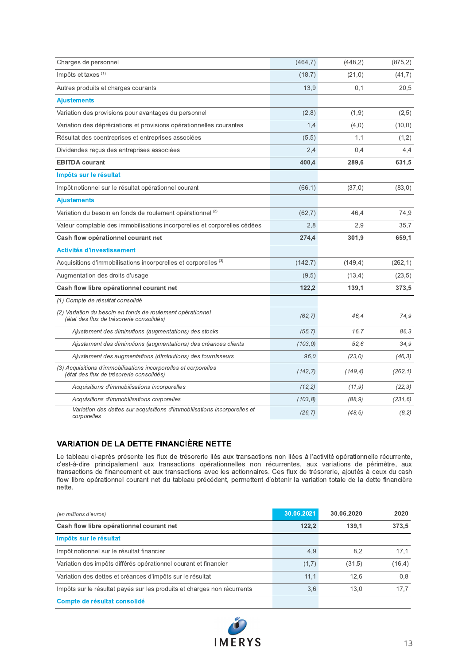| Charges de personnel                                                                                        | (464,7)  | (448, 2) | (875, 2) |
|-------------------------------------------------------------------------------------------------------------|----------|----------|----------|
| Impôts et taxes $(1)$                                                                                       | (18,7)   | (21,0)   | (41,7)   |
|                                                                                                             |          |          |          |
| Autres produits et charges courants                                                                         | 13,9     | 0,1      | 20,5     |
| <b>Ajustements</b>                                                                                          |          |          |          |
| Variation des provisions pour avantages du personnel                                                        | (2,8)    | (1,9)    | (2,5)    |
| Variation des dépréciations et provisions opérationnelles courantes                                         | 1,4      | (4,0)    | (10, 0)  |
| Résultat des coentreprises et entreprises associées                                                         | (5,5)    | 1,1      | (1,2)    |
| Dividendes reçus des entreprises associées                                                                  | 2,4      | 0,4      | 4,4      |
| <b>EBITDA</b> courant                                                                                       | 400,4    | 289,6    | 631,5    |
| Impôts sur le résultat                                                                                      |          |          |          |
| Impôt notionnel sur le résultat opérationnel courant                                                        | (66, 1)  | (37,0)   | (83,0)   |
| <b>Ajustements</b>                                                                                          |          |          |          |
| Variation du besoin en fonds de roulement opérationnel (2)                                                  | (62,7)   | 46,4     | 74,9     |
| Valeur comptable des immobilisations incorporelles et corporelles cédées                                    | 2,8      | 2,9      | 35.7     |
| Cash flow opérationnel courant net                                                                          | 274,4    | 301,9    | 659,1    |
| <b>Activités d'investissement</b>                                                                           |          |          |          |
| Acquisitions d'immobilisations incorporelles et corporelles (3)                                             | (142,7)  | (149,4)  | (262, 1) |
| Augmentation des droits d'usage                                                                             | (9,5)    | (13,4)   | (23,5)   |
| Cash flow libre opérationnel courant net                                                                    | 122,2    | 139,1    | 373,5    |
| (1) Compte de résultat consolidé                                                                            |          |          |          |
| (2) Variation du besoin en fonds de roulement opérationnel<br>(état des flux de trésorerie consolidés)      | (62, 7)  | 46.4     | 74.9     |
| Ajustement des diminutions (augmentations) des stocks                                                       | (55, 7)  | 16.7     | 86.3     |
| Ajustement des diminutions (augmentations) des créances clients                                             | (103, 0) | 52.6     | 34.9     |
| Ajustement des augmentations (diminutions) des fournisseurs                                                 | 96.0     | (23,0)   | (46,3)   |
| (3) Acquisitions d'immobilisations incorporelles et corporelles<br>(état des flux de trésorerie consolidés) | (142, 7) | (149.4)  | (262, 1) |
| Acquisitions d'immobilisations incorporelles                                                                | (12, 2)  | (11, 9)  | (22,3)   |
| Acquisitions d'immobilisations corporelles                                                                  | (103, 8) | (88, 9)  | (231, 6) |
| Variation des dettes sur acquisitions d'immobilisations incorporelles et<br>corporelles                     | (26, 7)  | (48, 6)  | (8, 2)   |

### VARIATION DE LA DETTE FINANCIERE NETTE

Le tableau ci-après présente les flux de trésorerie liés aux transactions non liées à l'activité opérationnelle récurrente, c'est-à-dire principalement aux transactions opérationnelles non récurrentes, aux variations de pé Expression des dettes sur acquisitions d'immobilisations incorporelles et <br>
Variation des dettes sur acquisitions d'immobilisations incorporelles et <br>
corporelles<br>
Corporelles<br>
LA DETTE FINANCIÈRE NETTE<br>
Le tableau ci-apr Variation des dettes sur acquisitions d'immobilisations incorporelles et  $(26.7)$   $(48.6)$   $(8.2)$ <br>
corporelles<br> **UARIATION DE LA DETTE FINANCIÈRE NETTE**<br>
Le tableau ci-après présente les flux de trésorerie liés aux trans nette.

| Le tableau ci-après présente les flux de trésorerie liés aux transactions non liées à l'activité opérationnelle récurrente,<br>c'est-à-dire principalement aux transactions opérationnelles non récurrentes, aux variations de périmètre, aux<br>transactions de financement et aux transactions avec les actionnaires. Ces flux de trésorerie, ajoutés à ceux du cash<br>flow libre opérationnel courant net du tableau précédent, permettent d'obtenir la variation totale de la dette financière<br>nette. |            |            |
|---------------------------------------------------------------------------------------------------------------------------------------------------------------------------------------------------------------------------------------------------------------------------------------------------------------------------------------------------------------------------------------------------------------------------------------------------------------------------------------------------------------|------------|------------|
| (en millions d'euros)                                                                                                                                                                                                                                                                                                                                                                                                                                                                                         | 30.06.2021 | 30.06.2020 |
| Cash flow libre opérationnel courant net                                                                                                                                                                                                                                                                                                                                                                                                                                                                      | 122,2      | 139,1      |
| Impôts sur le résultat                                                                                                                                                                                                                                                                                                                                                                                                                                                                                        |            |            |
| Impôt notionnel sur le résultat financier                                                                                                                                                                                                                                                                                                                                                                                                                                                                     | 4,9        | 8,2        |
| Variation des impôts différés opérationnel courant et financier                                                                                                                                                                                                                                                                                                                                                                                                                                               | (1,7)      | (31,5)     |
| Variation des dettes et créances d'impôts sur le résultat                                                                                                                                                                                                                                                                                                                                                                                                                                                     | 11,1       | 12,6       |
| Impôts sur le résultat payés sur les produits et charges non récurrents                                                                                                                                                                                                                                                                                                                                                                                                                                       | 3,6        | 13,0       |
|                                                                                                                                                                                                                                                                                                                                                                                                                                                                                                               |            |            |

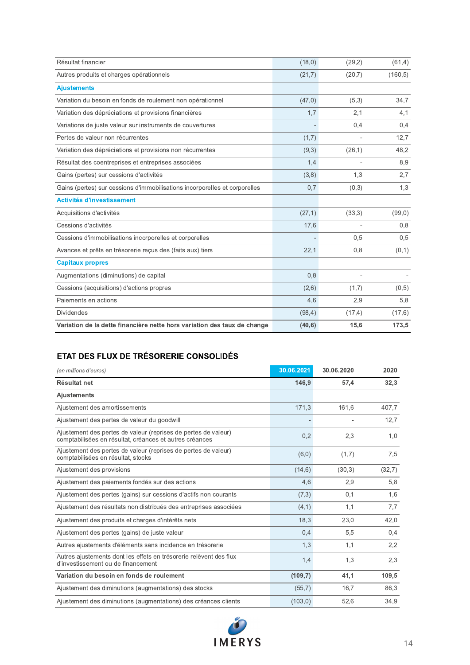| Résultat financier                                                         | (18,0)  | (29,2)                   | (61,4)   |
|----------------------------------------------------------------------------|---------|--------------------------|----------|
| Autres produits et charges opérationnels                                   | (21,7)  | (20,7)                   | (160, 5) |
| <b>Ajustements</b>                                                         |         |                          |          |
| Variation du besoin en fonds de roulement non opérationnel                 | (47,0)  | (5,3)                    | 34,7     |
| Variation des dépréciations et provisions financières                      | 1,7     | 2,1                      | 4,1      |
| Variations de juste valeur sur instruments de couvertures                  |         | 0,4                      | 0,4      |
| Pertes de valeur non récurrentes                                           | (1,7)   |                          | 12,7     |
| Variation des dépréciations et provisions non récurrentes                  | (9,3)   | (26, 1)                  | 48,2     |
| Résultat des coentreprises et entreprises associées                        | 1,4     | $\overline{\phantom{a}}$ | 8,9      |
| Gains (pertes) sur cessions d'activités                                    | (3,8)   | 1,3                      | 2,7      |
| Gains (pertes) sur cessions d'immobilisations incorporelles et corporelles | 0,7     | (0,3)                    | 1,3      |
| <b>Activités d'investissement</b>                                          |         |                          |          |
| Acquisitions d'activités                                                   | (27,1)  | (33,3)                   | (99,0)   |
| Cessions d'activités                                                       | 17,6    |                          | 0,8      |
| Cessions d'immobilisations incorporelles et corporelles                    |         | 0,5                      | 0,5      |
| Avances et prêts en trésorerie reçus des (faits aux) tiers                 | 22,1    | 0,8                      | (0,1)    |
| <b>Capitaux propres</b>                                                    |         |                          |          |
| Augmentations (diminutions) de capital                                     | 0,8     | $\overline{a}$           |          |
| Cessions (acquisitions) d'actions propres                                  | (2,6)   | (1,7)                    | (0,5)    |
| Paiements en actions                                                       | 4,6     | 2,9                      | 5,8      |
| <b>Dividendes</b>                                                          | (98, 4) | (17, 4)                  | (17, 6)  |
| Variation de la dette financière nette hors variation des taux de change   | (40, 6) | 15,6                     | 173,5    |

### ETAT DES FLUX DE TRÉSORERIE CONSOLIDÉS

| (en millions d'euros)                                                                                                     | 30.06.2021 | 30.06.2020     | 2020   |
|---------------------------------------------------------------------------------------------------------------------------|------------|----------------|--------|
| Résultat net                                                                                                              | 146,9      | 57,4           | 32,3   |
| <b>Ajustements</b>                                                                                                        |            |                |        |
| Ajustement des amortissements                                                                                             | 171,3      | 161,6          | 407,7  |
| Ajustement des pertes de valeur du goodwill                                                                               |            | $\overline{a}$ | 12,7   |
| Ajustement des pertes de valeur (reprises de pertes de valeur)<br>comptabilisées en résultat, créances et autres créances | 0,2        | 2,3            | 1,0    |
| Ajustement des pertes de valeur (reprises de pertes de valeur)<br>comptabilisées en résultat, stocks                      | (6,0)      | (1,7)          | 7,5    |
| Ajustement des provisions                                                                                                 | (14, 6)    | (30,3)         | (32,7) |
| Ajustement des paiements fondés sur des actions                                                                           | 4,6        | 2,9            | 5,8    |
| Ajustement des pertes (gains) sur cessions d'actifs non courants                                                          | (7,3)      | 0,1            | 1,6    |
| Ajustement des résultats non distribués des entreprises associées                                                         | (4,1)      | 1,1            | 7,7    |
| Ajustement des produits et charges d'intérêts nets                                                                        | 18,3       | 23,0           | 42,0   |
| Ajustement des pertes (gains) de juste valeur                                                                             | 0,4        | 5,5            | 0,4    |
| Autres ajustements d'éléments sans incidence en trésorerie                                                                | 1,3        | 1,1            | 2,2    |
| Autres ajustements dont les effets en trésorerie relèvent des flux<br>d'investissement ou de financement                  | 1,4        | 1,3            | 2,3    |
| Variation du besoin en fonds de roulement                                                                                 | (109,7)    | 41,1           | 109,5  |
| Ajustement des diminutions (augmentations) des stocks                                                                     | (55,7)     | 16,7           | 86,3   |
| Ajustement des diminutions (augmentations) des créances clients                                                           | (103, 0)   | 52,6           | 34,9   |

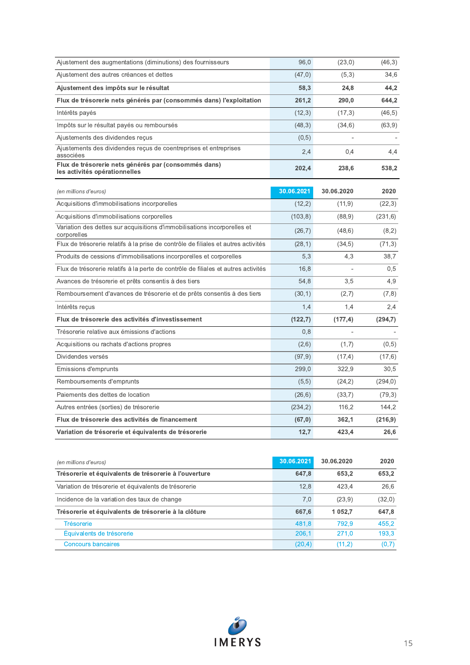| Ajustement des augmentations (diminutions) des fournisseurs                             | 96,0       | (23,0)     | (46,3)   |
|-----------------------------------------------------------------------------------------|------------|------------|----------|
| Ajustement des autres créances et dettes                                                | (47, 0)    | (5,3)      | 34,6     |
| Ajustement des impôts sur le résultat                                                   | 58,3       | 24,8       | 44,2     |
| Flux de trésorerie nets générés par (consommés dans) l'exploitation                     | 261,2      | 290,0      | 644,2    |
| Intérêts payés                                                                          | (12,3)     | (17,3)     | (46, 5)  |
| Impôts sur le résultat payés ou remboursés                                              | (48,3)     | (34, 6)    | (63, 9)  |
| Ajustements des dividendes reçus                                                        | (0,5)      |            |          |
| Ajustements des dividendes reçus de coentreprises et entreprises<br>associées           | 2,4        | 0,4        | 4,4      |
| Flux de trésorerie nets générés par (consommés dans)<br>les activités opérationnelles   | 202,4      | 238,6      | 538,2    |
| (en millions d'euros)                                                                   | 30.06.2021 | 30.06.2020 | 2020     |
| Acquisitions d'immobilisations incorporelles                                            | (12,2)     | (11, 9)    | (22,3)   |
| Acquisitions d'immobilisations corporelles                                              | (103, 8)   | (88, 9)    | (231,6)  |
| Variation des dettes sur acquisitions d'immobilisations incorporelles et<br>corporelles | (26,7)     | (48, 6)    | (8,2)    |
| Flux de trésorerie relatifs à la prise de contrôle de filiales et autres activités      | (28,1)     | (34,5)     | (71,3)   |
| Produits de cessions d'immobilisations incorporelles et corporelles                     | 5,3        | 4,3        | 38,7     |
| Flux de trésorerie relatifs à la perte de contrôle de filiales et autres activités      | 16,8       |            | 0,5      |
| Avances de trésorerie et prêts consentis à des tiers                                    | 54,8       | 3,5        | 4,9      |
| Remboursement d'avances de trésorerie et de prêts consentis à des tiers                 | (30,1)     | (2,7)      | (7,8)    |
| Intérêts reçus                                                                          | 1,4        | 1,4        | 2,4      |
| Flux de trésorerie des activités d'investissement                                       | (122,7)    | (177, 4)   | (294,7)  |
| Trésorerie relative aux émissions d'actions                                             | 0,8        |            |          |
| Acquisitions ou rachats d'actions propres                                               | (2,6)      | (1,7)      | (0,5)    |
| Dividendes versés                                                                       | (97, 9)    | (17,4)     | (17, 6)  |
| Emissions d'emprunts                                                                    | 299,0      | 322,9      | 30,5     |
| Remboursements d'emprunts                                                               | (5,5)      | (24,2)     | (294, 0) |
| Paiements des dettes de location                                                        | (26, 6)    | (33,7)     | (79,3)   |
| Autres entrées (sorties) de trésorerie                                                  | (234, 2)   | 116,2      | 144,2    |
| Flux de trésorerie des activités de financement                                         | (67, 0)    | 362,1      | (216, 9) |
| Variation de trésorerie et équivalents de trésorerie                                    | 12,7       | 423,4      | 26,6     |

| (en millions d'euros)                                 | 30.06.2021 | 30.06.2020 | 2020   |
|-------------------------------------------------------|------------|------------|--------|
| Trésorerie et équivalents de trésorerie à l'ouverture | 647.8      | 653.2      | 653.2  |
| Variation de trésorerie et équivalents de trésorerie  | 12.8       | 423.4      | 26.6   |
| Incidence de la variation des taux de change          | 7,0        | (23.9)     | (32,0) |
| Trésorerie et équivalents de trésorerie à la clôture  | 667.6      | 1 0 5 2.7  | 647.8  |
| <b>Trésorerie</b>                                     | 481.8      | 792.9      | 455.2  |
| Équivalents de trésorerie                             | 206.1      | 271.0      | 193.3  |
| <b>Concours bancaires</b>                             | (20,4)     | (11.2)     | (0,7)  |